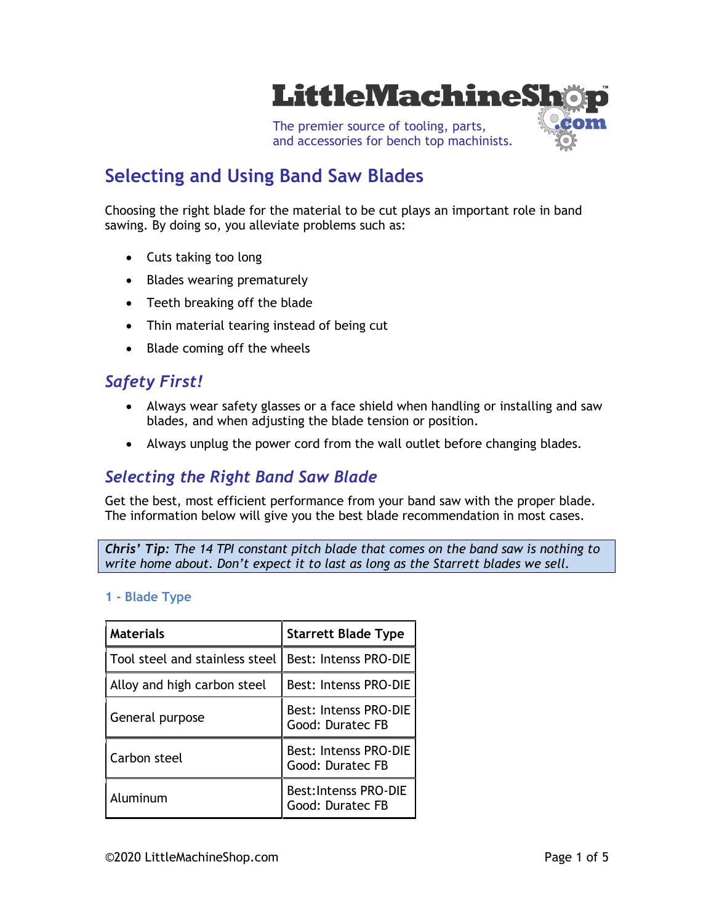

# **Selecting and Using Band Saw Blades**

Choosing the right blade for the material to be cut plays an important role in band sawing. By doing so, you alleviate problems such as:

- Cuts taking too long
- Blades wearing prematurely
- Teeth breaking off the blade
- Thin material tearing instead of being cut
- Blade coming off the wheels

### *Safety First!*

- Always wear safety glasses or a face shield when handling or installing and saw blades, and when adjusting the blade tension or position.
- Always unplug the power cord from the wall outlet before changing blades.

### *Selecting the Right Band Saw Blade*

Get the best, most efficient performance from your band saw with the proper blade. The information below will give you the best blade recommendation in most cases.

*Chris' Tip: The 14 TPI constant pitch blade that comes on the band saw is nothing to write home about. Don't expect it to last as long as the Starrett blades we sell.*

### **1 - Blade Type**

| <b>Materials</b>               | <b>Starrett Blade Type</b>                       |  |
|--------------------------------|--------------------------------------------------|--|
| Tool steel and stainless steel | l Best: Intenss PRO-DIE                          |  |
| Alloy and high carbon steel    | <b>Best: Intenss PRO-DIE</b>                     |  |
| General purpose                | <b>Best: Intenss PRO-DIE</b><br>Good: Duratec FB |  |
| Carbon steel                   | <b>Best: Intenss PRO-DIE</b><br>Good: Duratec FB |  |
| Aluminum                       | <b>Best:Intenss PRO-DIE</b><br>Good: Duratec FB  |  |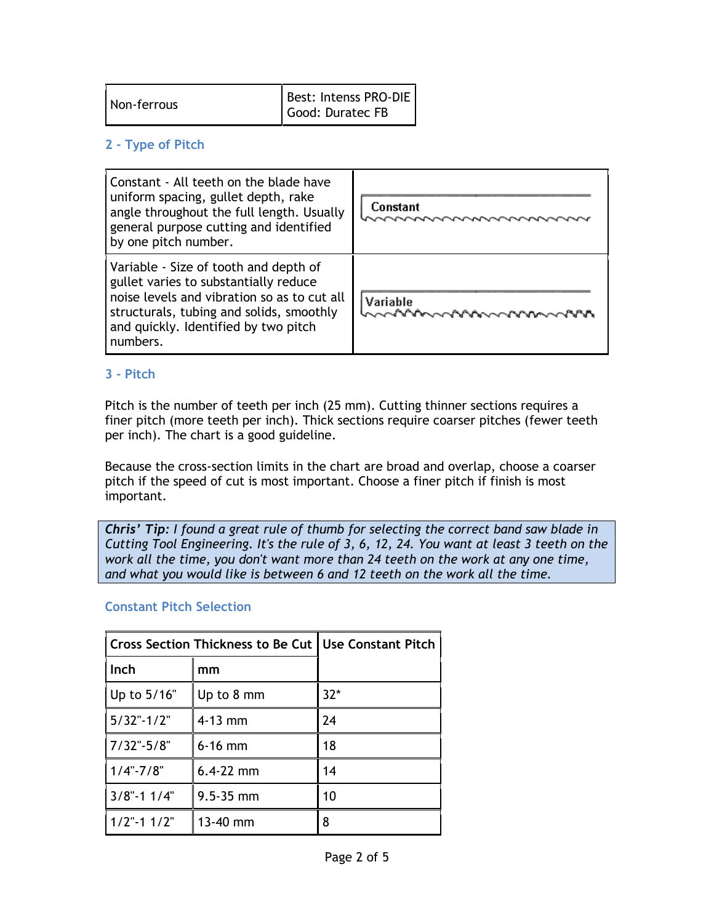| Non-ferrous | Best: Intenss PRO-DIE<br>Good: Duratec FB |
|-------------|-------------------------------------------|
|-------------|-------------------------------------------|

### **2 - Type of Pitch**

| Constant - All teeth on the blade have<br>uniform spacing, gullet depth, rake<br>angle throughout the full length. Usually<br>general purpose cutting and identified<br>by one pitch number.                                  | Constant                                |
|-------------------------------------------------------------------------------------------------------------------------------------------------------------------------------------------------------------------------------|-----------------------------------------|
| Variable - Size of tooth and depth of<br>gullet varies to substantially reduce<br>noise levels and vibration so as to cut all<br>structurals, tubing and solids, smoothly<br>and quickly. Identified by two pitch<br>numbers. | Variable<br><b>へへ^^^^へへ^^^^へへへ^^^^^</b> |

### **3 - Pitch**

Pitch is the number of teeth per inch (25 mm). Cutting thinner sections requires a finer pitch (more teeth per inch). Thick sections require coarser pitches (fewer teeth per inch). The chart is a good guideline.

Because the cross-section limits in the chart are broad and overlap, choose a coarser pitch if the speed of cut is most important. Choose a finer pitch if finish is most important.

*Chris' Tip: I found a great rule of thumb for selecting the correct band saw blade in Cutting Tool Engineering. It's the rule of 3, 6, 12, 24. You want at least 3 teeth on the work all the time, you don't want more than 24 teeth on the work at any one time, and what you would like is between 6 and 12 teeth on the work all the time.*

### **Constant Pitch Selection**

| Cross Section Thickness to Be Cut   Use Constant Pitch |               |       |
|--------------------------------------------------------|---------------|-------|
| Inch                                                   | mm            |       |
| Up to 5/16"                                            | Up to 8 mm    | $32*$ |
| $5/32$ "-1/2"                                          | $4-13$ mm     | 24    |
| $7/32$ "-5/8"                                          | $6-16$ mm     | 18    |
| $1/4$ "-7/8"                                           | $6.4 - 22$ mm | 14    |
| $3/8$ "-1 1/4"                                         | $9.5 - 35$ mm | 10    |
| $1/2$ "-1 $1/2$ "                                      | 13-40 mm      | 8     |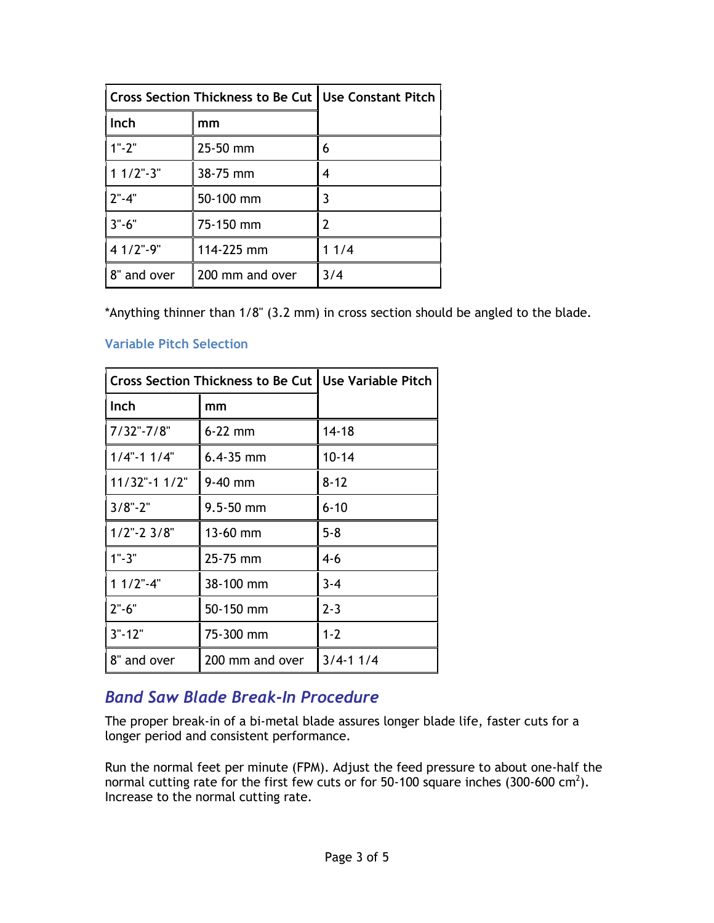| Cross Section Thickness to Be Cut   Use Constant Pitch |                 |      |
|--------------------------------------------------------|-----------------|------|
| Inch                                                   | mm              |      |
| $1" - 2"$                                              | 25-50 mm        | 6    |
| $11/2$ "-3"                                            | 38-75 mm        | 4    |
| $2" - 4"$                                              | 50-100 mm       |      |
| $3 - 6$                                                | 75-150 mm       |      |
| 4 1/2"-9"                                              | 114-225 mm      | 11/4 |
| 8" and over                                            | 200 mm and over | 3/4  |

\*Anything thinner than 1/8" (3.2 mm) in cross section should be angled to the blade.

### **Variable Pitch Selection**

| <b>Cross Section Thickness to Be Cut</b> |                 | <b>Use Variable Pitch</b> |
|------------------------------------------|-----------------|---------------------------|
| Inch                                     | mm              |                           |
| $7/32$ "-7/8"                            | $6-22$ mm       | $14 - 18$                 |
| $1/4$ "-1 $1/4$ "                        | $6.4 - 35$ mm   | $10 - 14$                 |
| $11/32$ "-1 $1/2$ "                      | $9-40$ mm       | $8 - 12$                  |
| $3/8" - 2"$                              | $9.5 - 50$ mm   | $6 - 10$                  |
| $1/2$ "-2 $3/8$ "                        | 13-60 mm        | $5 - 8$                   |
| $1" - 3"$                                | 25-75 mm        | $4 - 6$                   |
| $11/2$ "-4"                              | 38-100 mm       | $3 - 4$                   |
| $2" - 6"$                                | 50-150 mm       | $2 - 3$                   |
| $3" - 12"$                               | 75-300 mm       | $1 - 2$                   |
| 8" and over                              | 200 mm and over | $3/4 - 11/4$              |

## *Band Saw Blade Break-In Procedure*

The proper break-in of a bi-metal blade assures longer blade life, faster cuts for a longer period and consistent performance.

Run the normal feet per minute (FPM). Adjust the feed pressure to about one-half the normal cutting rate for the first few cuts or for 50-100 square inches (300-600 cm<sup>2</sup>). Increase to the normal cutting rate.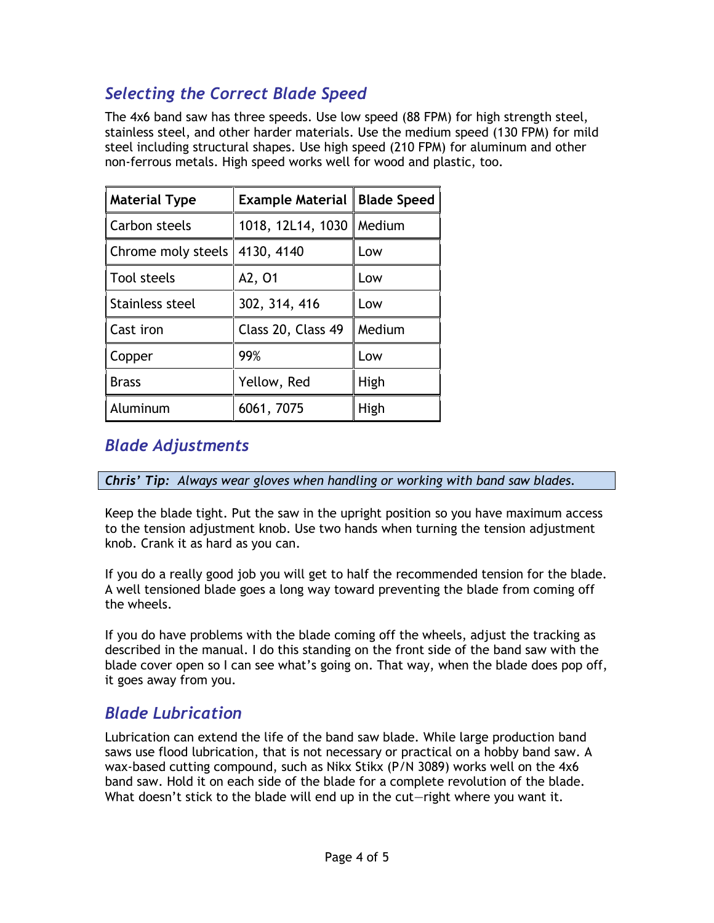## *Selecting the Correct Blade Speed*

The 4x6 band saw has three speeds. Use low speed (88 FPM) for high strength steel, stainless steel, and other harder materials. Use the medium speed (130 FPM) for mild steel including structural shapes. Use high speed (210 FPM) for aluminum and other non-ferrous metals. High speed works well for wood and plastic, too.

| <b>Material Type</b>             | <b>Example Material   Blade Speed</b> |        |
|----------------------------------|---------------------------------------|--------|
| Carbon steels                    | 1018, 12L14, 1030   Medium            |        |
| Chrome moly steels $ 4130, 4140$ |                                       | Low    |
| Tool steels                      | A2, 01                                | Low    |
| Stainless steel                  | 302, 314, 416                         | Low    |
| Cast iron                        | Class 20, Class 49                    | Medium |
| Copper                           | 99%                                   | Low    |
| <b>Brass</b>                     | Yellow, Red                           | High   |
| Aluminum                         | 6061, 7075                            | High   |

## *Blade Adjustments*

*Chris' Tip: Always wear gloves when handling or working with band saw blades.*

Keep the blade tight. Put the saw in the upright position so you have maximum access to the tension adjustment knob. Use two hands when turning the tension adjustment knob. Crank it as hard as you can.

If you do a really good job you will get to half the recommended tension for the blade. A well tensioned blade goes a long way toward preventing the blade from coming off the wheels.

If you do have problems with the blade coming off the wheels, adjust the tracking as described in the manual. I do this standing on the front side of the band saw with the blade cover open so I can see what's going on. That way, when the blade does pop off, it goes away from you.

## *Blade Lubrication*

Lubrication can extend the life of the band saw blade. While large production band saws use flood lubrication, that is not necessary or practical on a hobby band saw. A wax-based cutting compound, such as Nikx Stikx (P/N 3089) works well on the 4x6 band saw. Hold it on each side of the blade for a complete revolution of the blade. What doesn't stick to the blade will end up in the cut—right where you want it.